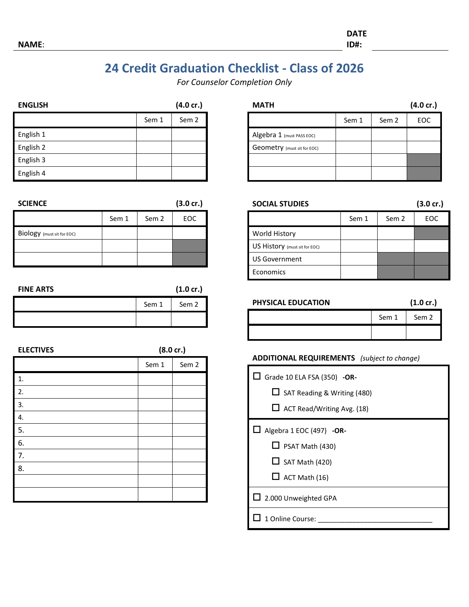**DATE**

## **24 Credit Graduation Checklist - Class of 2026**

*For Counselor Completion Only*

| <b>ENGLISH</b> |       | $(4.0 \text{ cr.})$ |
|----------------|-------|---------------------|
|                | Sem 1 | Sem <sub>2</sub>    |
| English 1      |       |                     |
| English 2      |       |                     |
| English 3      |       |                     |
| English 4      |       |                     |

| <b>SCIENCE</b>             |       |                  | $(3.0 \text{ cr.})$ |
|----------------------------|-------|------------------|---------------------|
|                            | Sem 1 | Sem <sub>2</sub> | EOC                 |
| Biology (must sit for EOC) |       |                  |                     |
|                            |       |                  |                     |
|                            |       |                  |                     |

|       | $(1.0 \text{ cr.})$ |
|-------|---------------------|
| Sem 1 | Sem <sub>2</sub>    |
|       |                     |

| <b>ELECTIVES</b> |       | $(8.0 \text{ cr.})$ |
|------------------|-------|---------------------|
|                  | Sem 1 | Sem <sub>2</sub>    |
| 1.               |       |                     |
| 2.               |       |                     |
| 3.               |       |                     |
| 4.               |       |                     |
| 5.               |       |                     |
| 6.               |       |                     |
| 7.               |       |                     |
| 8.               |       |                     |
|                  |       |                     |
|                  |       |                     |

| <b>MATH</b>                 |       |                  | $(4.0 \text{ cr.})$ |
|-----------------------------|-------|------------------|---------------------|
|                             | Sem 1 | Sem <sub>2</sub> | EOC                 |
| Algebra 1 (must PASS EOC)   |       |                  |                     |
| Geometry (must sit for EOC) |       |                  |                     |
|                             |       |                  |                     |
|                             |       |                  |                     |

| <b>SOCIAL STUDIES</b>         |       |       | $(3.0 \text{ cr.})$ |
|-------------------------------|-------|-------|---------------------|
|                               | Sem 1 | Sem 2 | EOC                 |
| World History                 |       |       |                     |
| US History (must sit for EOC) |       |       |                     |
| <b>US Government</b>          |       |       |                     |
| Economics                     |       |       |                     |

**PHYSICAL EDUCATION (1.0 cr.)**

| Sem 1 | Sem 2 |
|-------|-------|
|       |       |

#### **ADDITIONAL REQUIREMENTS** *(subject to change)*

| $\Box$ Grade 10 ELA FSA (350) -OR- |  |
|------------------------------------|--|
| $\Box$ SAT Reading & Writing (480) |  |
| $\Box$ ACT Read/Writing Avg. (18)  |  |
| $\Box$ Algebra 1 EOC (497) - OR-   |  |
| $\Box$ PSAT Math (430)             |  |
| $\Box$ SAT Math (420)              |  |
| $\Box$ ACT Math (16)               |  |
| $\Box$ 2.000 Unweighted GPA        |  |
| 1 Online Course:                   |  |